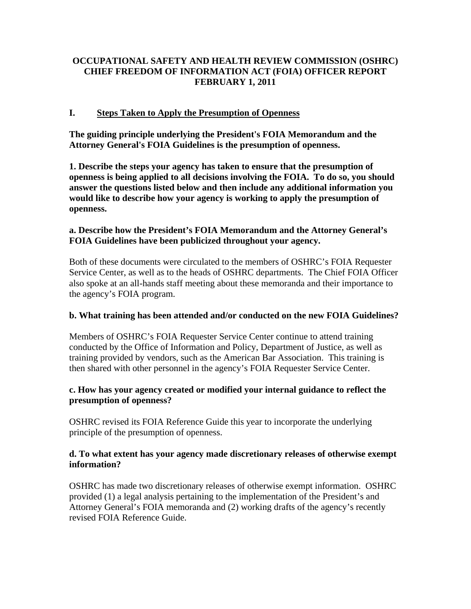# **OCCUPATIONAL SAFETY AND HEALTH REVIEW COMMISSION (OSHRC) CHIEF FREEDOM OF INFORMATION ACT (FOIA) OFFICER REPORT FEBRUARY 1, 2011**

### **I. Steps Taken to Apply the Presumption of Openness**

**The guiding principle underlying the President's FOIA Memorandum and the Attorney General's FOIA Guidelines is the presumption of openness.** 

**1. Describe the steps your agency has taken to ensure that the presumption of openness is being applied to all decisions involving the FOIA. To do so, you should answer the questions listed below and then include any additional information you would like to describe how your agency is working to apply the presumption of openness.** 

#### **a. Describe how the President's FOIA Memorandum and the Attorney General's FOIA Guidelines have been publicized throughout your agency.**

Both of these documents were circulated to the members of OSHRC's FOIA Requester Service Center, as well as to the heads of OSHRC departments. The Chief FOIA Officer also spoke at an all-hands staff meeting about these memoranda and their importance to the agency's FOIA program.

#### **b. What training has been attended and/or conducted on the new FOIA Guidelines?**

Members of OSHRC's FOIA Requester Service Center continue to attend training conducted by the Office of Information and Policy, Department of Justice, as well as training provided by vendors, such as the American Bar Association. This training is then shared with other personnel in the agency's FOIA Requester Service Center.

### **c. How has your agency created or modified your internal guidance to reflect the presumption of openness?**

OSHRC revised its FOIA Reference Guide this year to incorporate the underlying principle of the presumption of openness.

### **d. To what extent has your agency made discretionary releases of otherwise exempt information?**

OSHRC has made two discretionary releases of otherwise exempt information. OSHRC provided (1) a legal analysis pertaining to the implementation of the President's and Attorney General's FOIA memoranda and (2) working drafts of the agency's recently revised FOIA Reference Guide.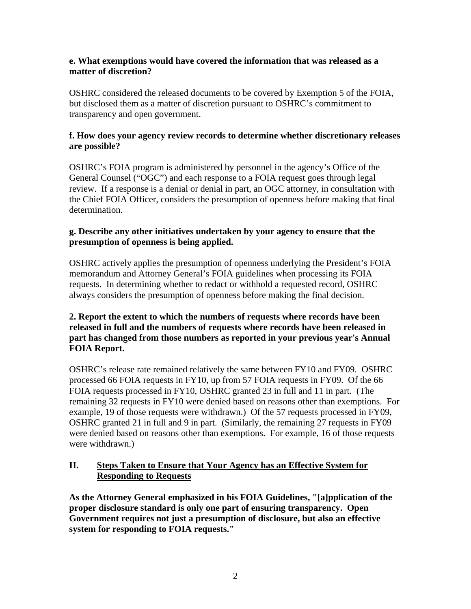#### **e. What exemptions would have covered the information that was released as a matter of discretion?**

OSHRC considered the released documents to be covered by Exemption 5 of the FOIA, but disclosed them as a matter of discretion pursuant to OSHRC's commitment to transparency and open government.

### **f. How does your agency review records to determine whether discretionary releases are possible?**

OSHRC's FOIA program is administered by personnel in the agency's Office of the General Counsel ("OGC") and each response to a FOIA request goes through legal review. If a response is a denial or denial in part, an OGC attorney, in consultation with the Chief FOIA Officer, considers the presumption of openness before making that final determination.

### **g. Describe any other initiatives undertaken by your agency to ensure that the presumption of openness is being applied.**

OSHRC actively applies the presumption of openness underlying the President's FOIA memorandum and Attorney General's FOIA guidelines when processing its FOIA requests. In determining whether to redact or withhold a requested record, OSHRC always considers the presumption of openness before making the final decision.

### **2. Report the extent to which the numbers of requests where records have been released in full and the numbers of requests where records have been released in part has changed from those numbers as reported in your previous year's Annual FOIA Report.**

OSHRC's release rate remained relatively the same between FY10 and FY09. OSHRC processed 66 FOIA requests in FY10, up from 57 FOIA requests in FY09. Of the 66 FOIA requests processed in FY10, OSHRC granted 23 in full and 11 in part. (The remaining 32 requests in FY10 were denied based on reasons other than exemptions. For example, 19 of those requests were withdrawn.) Of the 57 requests processed in FY09, OSHRC granted 21 in full and 9 in part. (Similarly, the remaining 27 requests in FY09 were denied based on reasons other than exemptions. For example, 16 of those requests were withdrawn.)

# **II. Steps Taken to Ensure that Your Agency has an Effective System for Responding to Requests**

**As the Attorney General emphasized in his FOIA Guidelines, "[a]pplication of the proper disclosure standard is only one part of ensuring transparency. Open Government requires not just a presumption of disclosure, but also an effective system for responding to FOIA requests."**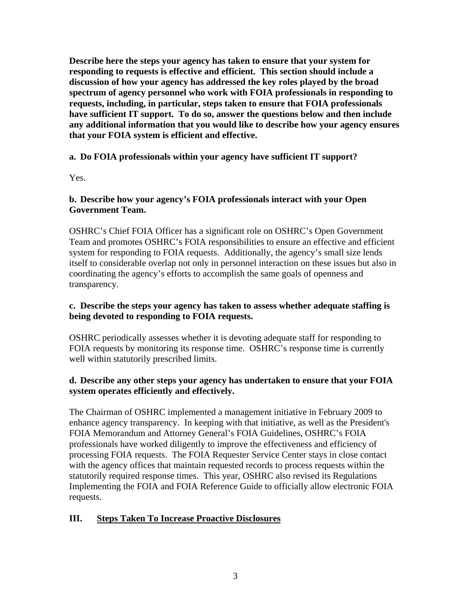**Describe here the steps your agency has taken to ensure that your system for responding to requests is effective and efficient. This section should include a discussion of how your agency has addressed the key roles played by the broad spectrum of agency personnel who work with FOIA professionals in responding to requests, including, in particular, steps taken to ensure that FOIA professionals have sufficient IT support. To do so, answer the questions below and then include any additional information that you would like to describe how your agency ensures that your FOIA system is efficient and effective.** 

## **a. Do FOIA professionals within your agency have sufficient IT support?**

Yes.

### **b. Describe how your agency's FOIA professionals interact with your Open Government Team.**

OSHRC's Chief FOIA Officer has a significant role on OSHRC's Open Government Team and promotes OSHRC's FOIA responsibilities to ensure an effective and efficient system for responding to FOIA requests. Additionally, the agency's small size lends itself to considerable overlap not only in personnel interaction on these issues but also in coordinating the agency's efforts to accomplish the same goals of openness and transparency.

## **c. Describe the steps your agency has taken to assess whether adequate staffing is being devoted to responding to FOIA requests.**

OSHRC periodically assesses whether it is devoting adequate staff for responding to FOIA requests by monitoring its response time. OSHRC's response time is currently well within statutorily prescribed limits.

### **d. Describe any other steps your agency has undertaken to ensure that your FOIA system operates efficiently and effectively.**

The Chairman of OSHRC implemented a management initiative in February 2009 to enhance agency transparency. In keeping with that initiative, as well as the President's FOIA Memorandum and Attorney General's FOIA Guidelines, OSHRC's FOIA professionals have worked diligently to improve the effectiveness and efficiency of processing FOIA requests. The FOIA Requester Service Center stays in close contact with the agency offices that maintain requested records to process requests within the statutorily required response times. This year, OSHRC also revised its Regulations Implementing the FOIA and FOIA Reference Guide to officially allow electronic FOIA requests.

# **III. Steps Taken To Increase Proactive Disclosures**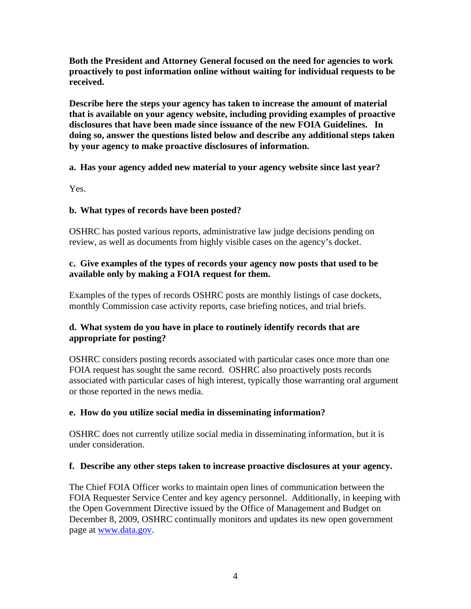**Both the President and Attorney General focused on the need for agencies to work proactively to post information online without waiting for individual requests to be received.** 

**Describe here the steps your agency has taken to increase the amount of material that is available on your agency website, including providing examples of proactive disclosures that have been made since issuance of the new FOIA Guidelines. In doing so, answer the questions listed below and describe any additional steps taken by your agency to make proactive disclosures of information.** 

**a. Has your agency added new material to your agency website since last year?** 

Yes.

# **b. What types of records have been posted?**

OSHRC has posted various reports, administrative law judge decisions pending on review, as well as documents from highly visible cases on the agency's docket.

# **c. Give examples of the types of records your agency now posts that used to be available only by making a FOIA request for them.**

Examples of the types of records OSHRC posts are monthly listings of case dockets, monthly Commission case activity reports, case briefing notices, and trial briefs.

# **d. What system do you have in place to routinely identify records that are appropriate for posting?**

OSHRC considers posting records associated with particular cases once more than one FOIA request has sought the same record. OSHRC also proactively posts records associated with particular cases of high interest, typically those warranting oral argument or those reported in the news media.

# **e. How do you utilize social media in disseminating information?**

OSHRC does not currently utilize social media in disseminating information, but it is under consideration.

### **f. Describe any other steps taken to increase proactive disclosures at your agency.**

The Chief FOIA Officer works to maintain open lines of communication between the FOIA Requester Service Center and key agency personnel. Additionally, in keeping with the Open Government Directive issued by the Office of Management and Budget on December 8, 2009, OSHRC continually monitors and updates its new open government page at www.data.gov.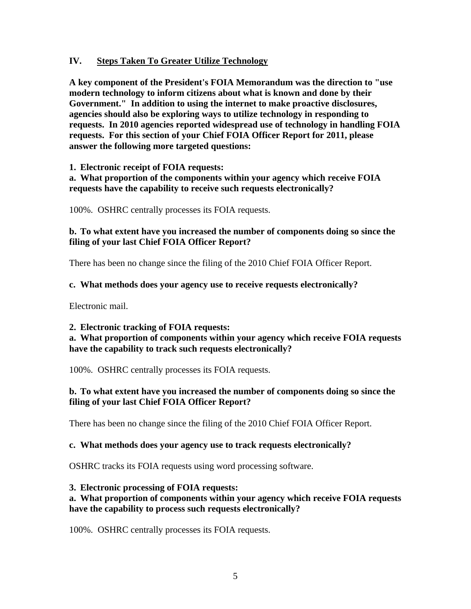#### **IV. Steps Taken To Greater Utilize Technology**

**A key component of the President's FOIA Memorandum was the direction to "use modern technology to inform citizens about what is known and done by their Government." In addition to using the internet to make proactive disclosures, agencies should also be exploring ways to utilize technology in responding to requests. In 2010 agencies reported widespread use of technology in handling FOIA requests. For this section of your Chief FOIA Officer Report for 2011, please answer the following more targeted questions:** 

**1. Electronic receipt of FOIA requests:** 

**a. What proportion of the components within your agency which receive FOIA requests have the capability to receive such requests electronically?** 

100%. OSHRC centrally processes its FOIA requests.

#### **b. To what extent have you increased the number of components doing so since the filing of your last Chief FOIA Officer Report?**

There has been no change since the filing of the 2010 Chief FOIA Officer Report.

#### **c. What methods does your agency use to receive requests electronically?**

Electronic mail.

#### **2. Electronic tracking of FOIA requests:**

#### **a. What proportion of components within your agency which receive FOIA requests have the capability to track such requests electronically?**

100%. OSHRC centrally processes its FOIA requests.

### **b. To what extent have you increased the number of components doing so since the filing of your last Chief FOIA Officer Report?**

There has been no change since the filing of the 2010 Chief FOIA Officer Report.

#### **c. What methods does your agency use to track requests electronically?**

OSHRC tracks its FOIA requests using word processing software.

#### **3. Electronic processing of FOIA requests:**

#### **a. What proportion of components within your agency which receive FOIA requests have the capability to process such requests electronically?**

100%. OSHRC centrally processes its FOIA requests.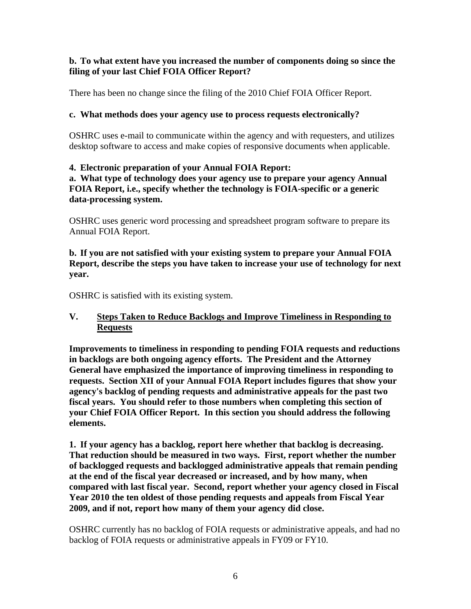### **b. To what extent have you increased the number of components doing so since the filing of your last Chief FOIA Officer Report?**

There has been no change since the filing of the 2010 Chief FOIA Officer Report.

## **c. What methods does your agency use to process requests electronically?**

OSHRC uses e-mail to communicate within the agency and with requesters, and utilizes desktop software to access and make copies of responsive documents when applicable.

# **4. Electronic preparation of your Annual FOIA Report:**

**a. What type of technology does your agency use to prepare your agency Annual FOIA Report, i.e., specify whether the technology is FOIA-specific or a generic data-processing system.** 

OSHRC uses generic word processing and spreadsheet program software to prepare its Annual FOIA Report.

**b. If you are not satisfied with your existing system to prepare your Annual FOIA Report, describe the steps you have taken to increase your use of technology for next year.** 

OSHRC is satisfied with its existing system.

# **V. Steps Taken to Reduce Backlogs and Improve Timeliness in Responding to Requests**

**Improvements to timeliness in responding to pending FOIA requests and reductions in backlogs are both ongoing agency efforts. The President and the Attorney General have emphasized the importance of improving timeliness in responding to requests. Section XII of your Annual FOIA Report includes figures that show your agency's backlog of pending requests and administrative appeals for the past two fiscal years. You should refer to those numbers when completing this section of your Chief FOIA Officer Report. In this section you should address the following elements.** 

**1. If your agency has a backlog, report here whether that backlog is decreasing. That reduction should be measured in two ways. First, report whether the number of backlogged requests and backlogged administrative appeals that remain pending at the end of the fiscal year decreased or increased, and by how many, when compared with last fiscal year. Second, report whether your agency closed in Fiscal Year 2010 the ten oldest of those pending requests and appeals from Fiscal Year 2009, and if not, report how many of them your agency did close.** 

OSHRC currently has no backlog of FOIA requests or administrative appeals, and had no backlog of FOIA requests or administrative appeals in FY09 or FY10.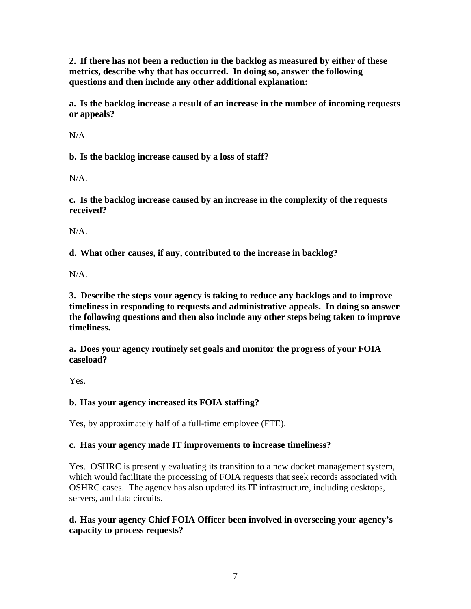**2. If there has not been a reduction in the backlog as measured by either of these metrics, describe why that has occurred. In doing so, answer the following questions and then include any other additional explanation:** 

**a. Is the backlog increase a result of an increase in the number of incoming requests or appeals?** 

N/A.

**b. Is the backlog increase caused by a loss of staff?** 

N/A.

**c. Is the backlog increase caused by an increase in the complexity of the requests received?** 

N/A.

**d. What other causes, if any, contributed to the increase in backlog?** 

N/A.

**3. Describe the steps your agency is taking to reduce any backlogs and to improve timeliness in responding to requests and administrative appeals. In doing so answer the following questions and then also include any other steps being taken to improve timeliness.** 

**a. Does your agency routinely set goals and monitor the progress of your FOIA caseload?** 

Yes.

# **b. Has your agency increased its FOIA staffing?**

Yes, by approximately half of a full-time employee (FTE).

# **c. Has your agency made IT improvements to increase timeliness?**

Yes. OSHRC is presently evaluating its transition to a new docket management system, which would facilitate the processing of FOIA requests that seek records associated with OSHRC cases. The agency has also updated its IT infrastructure, including desktops, servers, and data circuits.

**d. Has your agency Chief FOIA Officer been involved in overseeing your agency's capacity to process requests?**